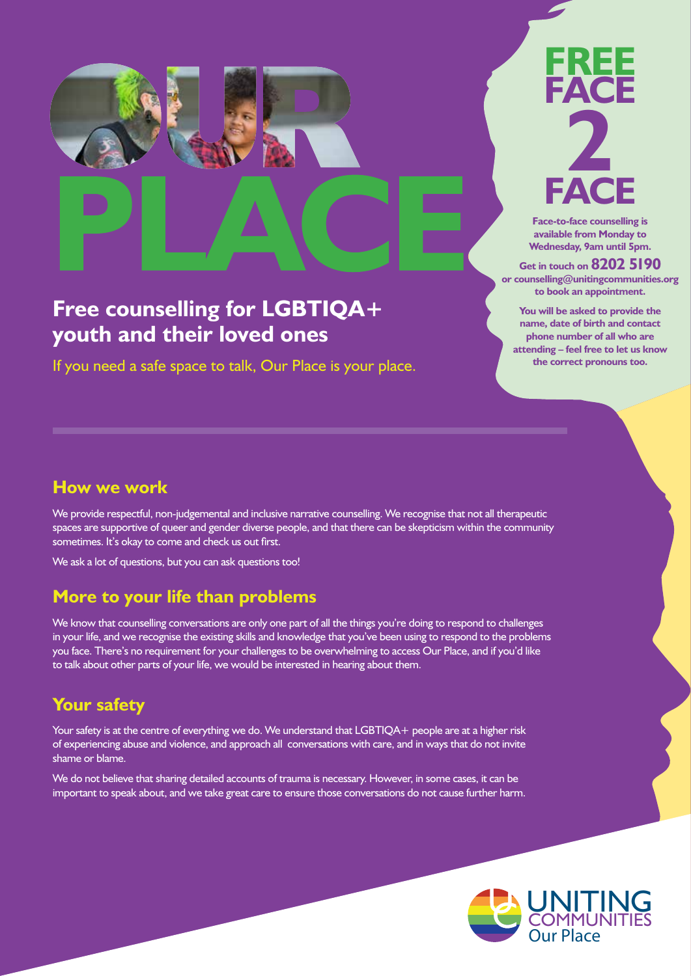

# **Free counselling for LGBTIQA+ youth and their loved ones**

If you need a safe space to talk, Our Place is your place.

### **Wednesday, 9am until 5pm. Get in touch on 8202 5190 or counselling@unitingcommunities.org**

**You will be asked to provide the name, date of birth and contact phone number of all who are attending – feel free to let us know the correct pronouns too.**

**to book an appointment.** 

## **How we work**

We provide respectful, non-judgemental and inclusive narrative counselling. We recognise that not all therapeutic spaces are supportive of queer and gender diverse people, and that there can be skepticism within the community sometimes. It's okay to come and check us out first.

We ask a lot of questions, but you can ask questions too!

# **More to your life than problems**

We know that counselling conversations are only one part of all the things you're doing to respond to challenges in your life, and we recognise the existing skills and knowledge that you've been using to respond to the problems you face. There's no requirement for your challenges to be overwhelming to access Our Place, and if you'd like to talk about other parts of your life, we would be interested in hearing about them.

# **Your safety**

Your safety is at the centre of everything we do. We understand that LGBTIQA+ people are at a higher risk of experiencing abuse and violence, and approach all conversations with care, and in ways that do not invite shame or blame.

We do not believe that sharing detailed accounts of trauma is necessary. However, in some cases, it can be important to speak about, and we take great care to ensure those conversations do not cause further harm.

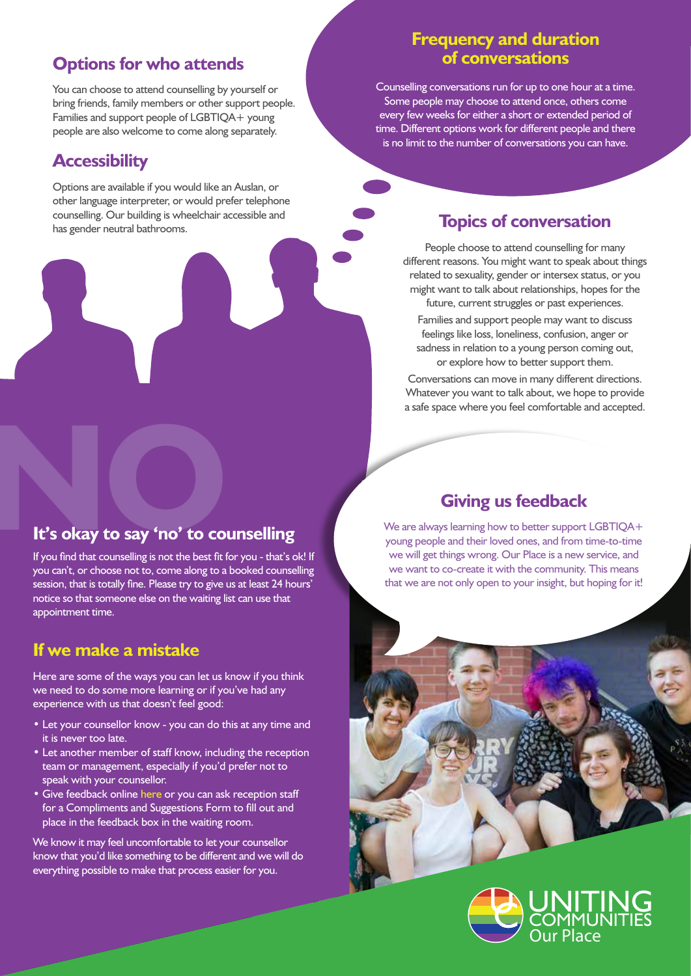## **Options for who attends**

You can choose to attend counselling by yourself or bring friends, family members or other support people. Families and support people of LGBTIOA+ young people are also welcome to come along separately.

## **Accessibility**

Options are available if you would like an Auslan, or other language interpreter, or would prefer telephone counselling. Our building is wheelchair accessible and counselling. Our building is wheelchair accessible and<br>has gender neutral bathrooms.

## **Frequency and duration of conversations**

Counselling conversations run for up to one hour at a time. Some people may choose to attend once, others come every few weeks for either a short or extended period of time. Different options work for different people and there is no limit to the number of conversations you can have.

People choose to attend counselling for many different reasons. You might want to speak about things related to sexuality, gender or intersex status, or you might want to talk about relationships, hopes for the future, current struggles or past experiences.

Families and support people may want to discuss feelings like loss, loneliness, confusion, anger or sadness in relation to a young person coming out, or explore how to better support them.

Conversations can move in many different directions. Whatever you want to talk about, we hope to provide a safe space where you feel comfortable and accepted.

## **Giving us feedback**

We are always learning how to better support LGBTIOA+ young people and their loved ones, and from time-to-time we will get things wrong. Our Place is a new service, and we want to co-create it with the community. This means that we are not only open to your insight, but hoping for it!





# **It's okay to say 'no' to counselling**<br>If you find that counselling is not the best fit for you - that's out

If you find that counselling is not the best fit for you - that's ok! If you can't, or choose not to, come along to a booked counselling session, that is totally fine. Please try to give us at least 24 hours' notice so that someone else on the waiting list can use that appointment time.

## **If we make a mistake**

Here are some of the ways you can let us know if you think we need to do some more learning or if you've had any experience with us that doesn't feel good:

- Let your counsellor know you can do this at any time and it is never too late.
- Let another member of staff know, including the reception team or management, especially if you'd prefer not to speak with your counsellor.
- Give feedback onlin[e here o](https://www.unitingcommunities.org/contact-us/feedback/)r you can ask reception staff for a Compliments and Suggestions Form to fill out and place in the feedback box in the waiting room.

We know it may feel uncomfortable to let your counsellor know that you'd like something to be different and we will do everything possible to make that process easier for you.